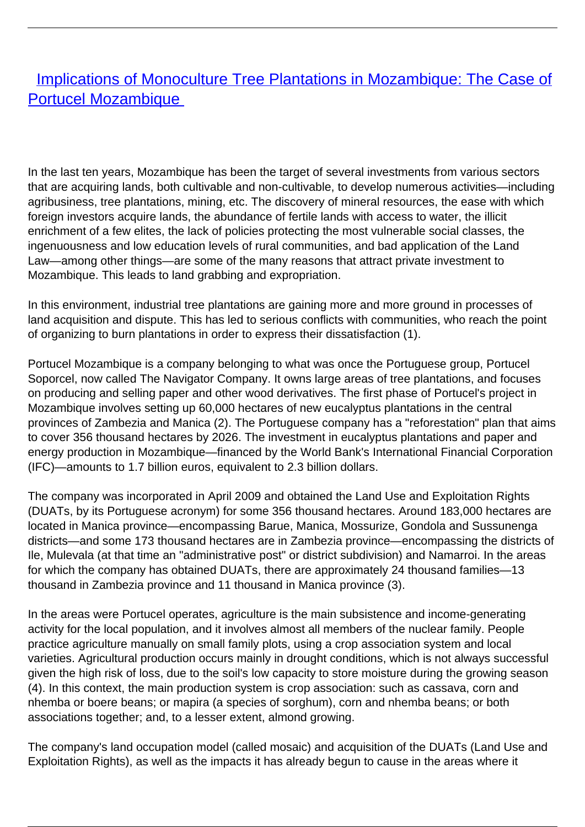## **[Implications of Monoculture Tree Plantations in Mozambique: The Case of](/bulletin-articles/implications-of-monoculture-tree-plantations-in-mozambique-the-case-of-portucel-mozambique)** [Portucel Mozambique](/bulletin-articles/implications-of-monoculture-tree-plantations-in-mozambique-the-case-of-portucel-mozambique)

In the last ten years, Mozambique has been the target of several investments from various sectors that are acquiring lands, both cultivable and non-cultivable, to develop numerous activities—including agribusiness, tree plantations, mining, etc. The discovery of mineral resources, the ease with which foreign investors acquire lands, the abundance of fertile lands with access to water, the illicit enrichment of a few elites, the lack of policies protecting the most vulnerable social classes, the ingenuousness and low education levels of rural communities, and bad application of the Land Law—among other things—are some of the many reasons that attract private investment to Mozambique. This leads to land grabbing and expropriation.

In this environment, industrial tree plantations are gaining more and more ground in processes of land acquisition and dispute. This has led to serious conflicts with communities, who reach the point of organizing to burn plantations in order to express their dissatisfaction (1).

Portucel Mozambique is a company belonging to what was once the Portuguese group, Portucel Soporcel, now called The Navigator Company. It owns large areas of tree plantations, and focuses on producing and selling paper and other wood derivatives. The first phase of Portucel's project in Mozambique involves setting up 60,000 hectares of new eucalyptus plantations in the central provinces of Zambezia and Manica (2). The Portuguese company has a "reforestation" plan that aims to cover 356 thousand hectares by 2026. The investment in eucalyptus plantations and paper and energy production in Mozambique—financed by the World Bank's International Financial Corporation (IFC)—amounts to 1.7 billion euros, equivalent to 2.3 billion dollars.

The company was incorporated in April 2009 and obtained the Land Use and Exploitation Rights (DUATs, by its Portuguese acronym) for some 356 thousand hectares. Around 183,000 hectares are located in Manica province—encompassing Barue, Manica, Mossurize, Gondola and Sussunenga districts—and some 173 thousand hectares are in Zambezia province—encompassing the districts of Ile, Mulevala (at that time an "administrative post" or district subdivision) and Namarroi. In the areas for which the company has obtained DUATs, there are approximately 24 thousand families—13 thousand in Zambezia province and 11 thousand in Manica province (3).

In the areas were Portucel operates, agriculture is the main subsistence and income-generating activity for the local population, and it involves almost all members of the nuclear family. People practice agriculture manually on small family plots, using a crop association system and local varieties. Agricultural production occurs mainly in drought conditions, which is not always successful given the high risk of loss, due to the soil's low capacity to store moisture during the growing season (4). In this context, the main production system is crop association: such as cassava, corn and nhemba or boere beans; or mapira (a species of sorghum), corn and nhemba beans; or both associations together; and, to a lesser extent, almond growing.

The company's land occupation model (called mosaic) and acquisition of the DUATs (Land Use and Exploitation Rights), as well as the impacts it has already begun to cause in the areas where it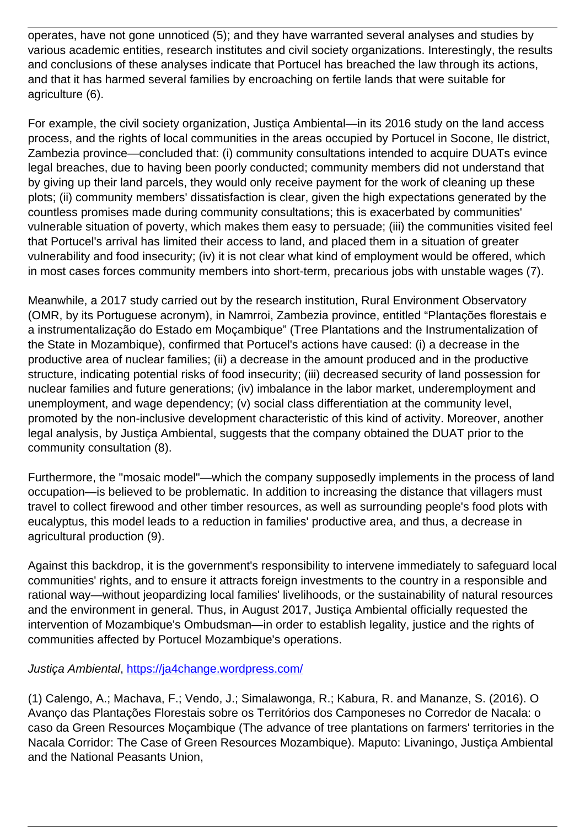operates, have not gone unnoticed (5); and they have warranted several analyses and studies by various academic entities, research institutes and civil society organizations. Interestingly, the results and conclusions of these analyses indicate that Portucel has breached the law through its actions, and that it has harmed several families by encroaching on fertile lands that were suitable for agriculture (6).

For example, the civil society organization, Justiça Ambiental—in its 2016 study on the land access process, and the rights of local communities in the areas occupied by Portucel in Socone, Ile district, Zambezia province—concluded that: (i) community consultations intended to acquire DUATs evince legal breaches, due to having been poorly conducted; community members did not understand that by giving up their land parcels, they would only receive payment for the work of cleaning up these plots; (ii) community members' dissatisfaction is clear, given the high expectations generated by the countless promises made during community consultations; this is exacerbated by communities' vulnerable situation of poverty, which makes them easy to persuade; (iii) the communities visited feel that Portucel's arrival has limited their access to land, and placed them in a situation of greater vulnerability and food insecurity; (iv) it is not clear what kind of employment would be offered, which in most cases forces community members into short-term, precarious jobs with unstable wages (7).

Meanwhile, a 2017 study carried out by the research institution, Rural Environment Observatory (OMR, by its Portuguese acronym), in Namrroi, Zambezia province, entitled "Plantações florestais e a instrumentalização do Estado em Moçambique" (Tree Plantations and the Instrumentalization of the State in Mozambique), confirmed that Portucel's actions have caused: (i) a decrease in the productive area of nuclear families; (ii) a decrease in the amount produced and in the productive structure, indicating potential risks of food insecurity; (iii) decreased security of land possession for nuclear families and future generations; (iv) imbalance in the labor market, underemployment and unemployment, and wage dependency; (v) social class differentiation at the community level, promoted by the non-inclusive development characteristic of this kind of activity. Moreover, another legal analysis, by Justiça Ambiental, suggests that the company obtained the DUAT prior to the community consultation (8).

Furthermore, the "mosaic model"—which the company supposedly implements in the process of land occupation—is believed to be problematic. In addition to increasing the distance that villagers must travel to collect firewood and other timber resources, as well as surrounding people's food plots with eucalyptus, this model leads to a reduction in families' productive area, and thus, a decrease in agricultural production (9).

Against this backdrop, it is the government's responsibility to intervene immediately to safeguard local communities' rights, and to ensure it attracts foreign investments to the country in a responsible and rational way—without jeopardizing local families' livelihoods, or the sustainability of natural resources and the environment in general. Thus, in August 2017, Justiça Ambiental officially requested the intervention of Mozambique's Ombudsman—in order to establish legality, justice and the rights of communities affected by Portucel Mozambique's operations.

## Justiça Ambiental,<https://ja4change.wordpress.com/>

(1) Calengo, A.; Machava, F.; Vendo, J.; Simalawonga, R.; Kabura, R. and Mananze, S. (2016). O Avanço das Plantações Florestais sobre os Territórios dos Camponeses no Corredor de Nacala: o caso da Green Resources Moçambique (The advance of tree plantations on farmers' territories in the Nacala Corridor: The Case of Green Resources Mozambique). Maputo: Livaningo, Justiça Ambiental and the National Peasants Union,